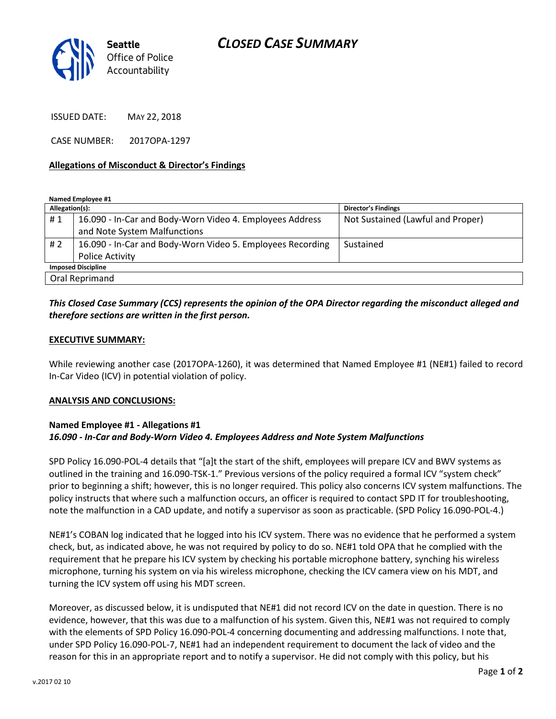

ISSUED DATE: MAY 22, 2018

CASE NUMBER: 2017OPA-1297

### **Allegations of Misconduct & Director's Findings**

**Named Employee #1**

| Allegation(s):            |                                                            | <b>Director's Findings</b>        |
|---------------------------|------------------------------------------------------------|-----------------------------------|
| #1                        | 16.090 - In-Car and Body-Worn Video 4. Employees Address   | Not Sustained (Lawful and Proper) |
|                           | and Note System Malfunctions                               |                                   |
| # 2                       | 16.090 - In-Car and Body-Worn Video 5. Employees Recording | Sustained                         |
|                           | Police Activity                                            |                                   |
| <b>Imposed Discipline</b> |                                                            |                                   |
| Oral Reprimand            |                                                            |                                   |

# *This Closed Case Summary (CCS) represents the opinion of the OPA Director regarding the misconduct alleged and therefore sections are written in the first person.*

#### **EXECUTIVE SUMMARY:**

While reviewing another case (2017OPA-1260), it was determined that Named Employee #1 (NE#1) failed to record In-Car Video (ICV) in potential violation of policy.

## **ANALYSIS AND CONCLUSIONS:**

# **Named Employee #1 - Allegations #1** *16.090 - In-Car and Body-Worn Video 4. Employees Address and Note System Malfunctions*

SPD Policy 16.090-POL-4 details that "[a]t the start of the shift, employees will prepare ICV and BWV systems as outlined in the training and 16.090-TSK-1." Previous versions of the policy required a formal ICV "system check" prior to beginning a shift; however, this is no longer required. This policy also concerns ICV system malfunctions. The policy instructs that where such a malfunction occurs, an officer is required to contact SPD IT for troubleshooting, note the malfunction in a CAD update, and notify a supervisor as soon as practicable. (SPD Policy 16.090-POL-4.)

NE#1's COBAN log indicated that he logged into his ICV system. There was no evidence that he performed a system check, but, as indicated above, he was not required by policy to do so. NE#1 told OPA that he complied with the requirement that he prepare his ICV system by checking his portable microphone battery, synching his wireless microphone, turning his system on via his wireless microphone, checking the ICV camera view on his MDT, and turning the ICV system off using his MDT screen.

Moreover, as discussed below, it is undisputed that NE#1 did not record ICV on the date in question. There is no evidence, however, that this was due to a malfunction of his system. Given this, NE#1 was not required to comply with the elements of SPD Policy 16.090-POL-4 concerning documenting and addressing malfunctions. I note that, under SPD Policy 16.090-POL-7, NE#1 had an independent requirement to document the lack of video and the reason for this in an appropriate report and to notify a supervisor. He did not comply with this policy, but his